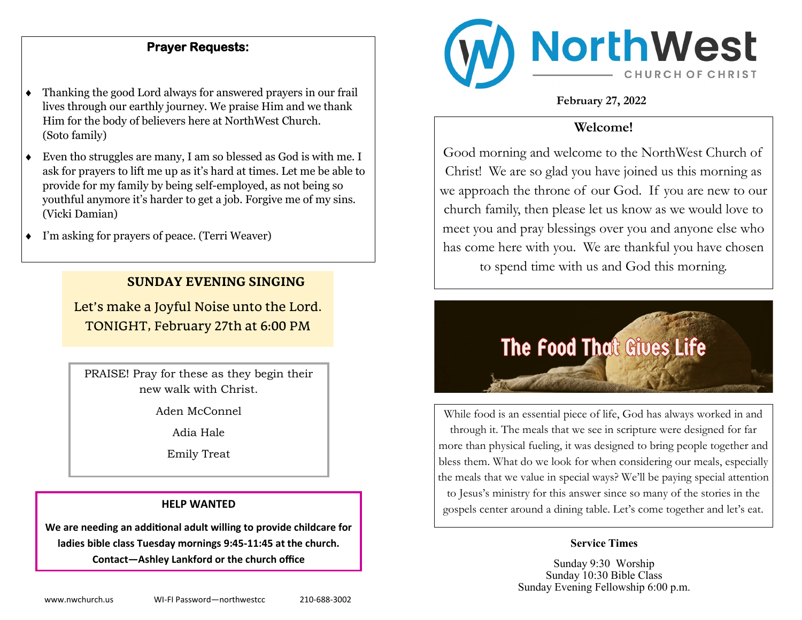## **Prayer Requests:**

- Thanking the good Lord always for answered prayers in our frail lives through our earthly journey. We praise Him and we thank Him for the body of believers here at NorthWest Church. (Soto family)
- Even tho struggles are many, I am so blessed as God is with me. I ask for prayers to lift me up as it's hard at times. Let me be able to provide for my family by being self-employed, as not being so youthful anymore it's harder to get a job. Forgive me of my sins. (Vicki Damian)
- I'm asking for prayers of peace. (Terri Weaver)

### **SUNDAY EVENING SINGING**

Let's make a Joyful Noise unto the Lord. TONIGHT, February 27th at 6:00 PM

PRAISE! Pray for these as they begin their new walk with Christ.

Aden McConnel

Adia Hale

Emily Treat

#### **HELP WANTED**

**We are needing an additional adult willing to provide childcare for ladies bible class Tuesday mornings 9:45-11:45 at the church. Contact—Ashley Lankford or the church office**



**February 27, 2022**

## **Welcome!**

Good morning and welcome to the NorthWest Church of Christ! We are so glad you have joined us this morning as we approach the throne of our God. If you are new to our church family, then please let us know as we would love to meet you and pray blessings over you and anyone else who has come here with you. We are thankful you have chosen to spend time with us and God this morning.



While food is an essential piece of life, God has always worked in and through it. The meals that we see in scripture were designed for far more than physical fueling, it was designed to bring people together and bless them. What do we look for when considering our meals, especially the meals that we value in special ways? We'll be paying special attention to Jesus's ministry for this answer since so many of the stories in the gospels center around a dining table. Let's come together and let's eat.

#### **Service Times**

Sunday 9:30 Worship Sunday 10:30 Bible Class Sunday Evening Fellowship 6:00 p.m.